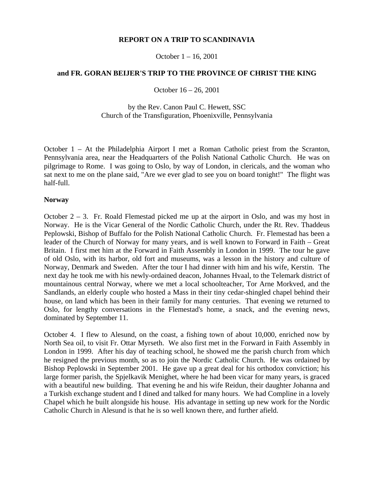# **REPORT ON A TRIP TO SCANDINAVIA**

October 1 – 16, 2001

## **and FR. GORAN BEIJER'S TRIP TO THE PROVINCE OF CHRIST THE KING**

October 16 – 26, 2001

# by the Rev. Canon Paul C. Hewett, SSC Church of the Transfiguration, Phoenixville, Pennsylvania

October 1 – At the Philadelphia Airport I met a Roman Catholic priest from the Scranton, Pennsylvania area, near the Headquarters of the Polish National Catholic Church. He was on pilgrimage to Rome. I was going to Oslo, by way of London, in clericals, and the woman who sat next to me on the plane said, "Are we ever glad to see you on board tonight!" The flight was half-full.

## **Norway**

October  $2 - 3$ . Fr. Roald Flemestad picked me up at the airport in Oslo, and was my host in Norway. He is the Vicar General of the Nordic Catholic Church, under the Rt. Rev. Thaddeus Peplowski, Bishop of Buffalo for the Polish National Catholic Church. Fr. Flemestad has been a leader of the Church of Norway for many years, and is well known to Forward in Faith – Great Britain. I first met him at the Forward in Faith Assembly in London in 1999. The tour he gave of old Oslo, with its harbor, old fort and museums, was a lesson in the history and culture of Norway, Denmark and Sweden. After the tour I had dinner with him and his wife, Kerstin. The next day he took me with his newly-ordained deacon, Johannes Hvaal, to the Telemark district of mountainous central Norway, where we met a local schoolteacher, Tor Arne Morkved, and the Sandlands, an elderly couple who hosted a Mass in their tiny cedar-shingled chapel behind their house, on land which has been in their family for many centuries. That evening we returned to Oslo, for lengthy conversations in the Flemestad's home, a snack, and the evening news, dominated by September 11.

October 4. I flew to Alesund, on the coast, a fishing town of about 10,000, enriched now by North Sea oil, to visit Fr. Ottar Myrseth. We also first met in the Forward in Faith Assembly in London in 1999. After his day of teaching school, he showed me the parish church from which he resigned the previous month, so as to join the Nordic Catholic Church. He was ordained by Bishop Peplowski in September 2001. He gave up a great deal for his orthodox conviction; his large former parish, the Spjelkavik Menighet, where he had been vicar for many years, is graced with a beautiful new building. That evening he and his wife Reidun, their daughter Johanna and a Turkish exchange student and I dined and talked for many hours. We had Compline in a lovely Chapel which he built alongside his house. His advantage in setting up new work for the Nordic Catholic Church in Alesund is that he is so well known there, and further afield.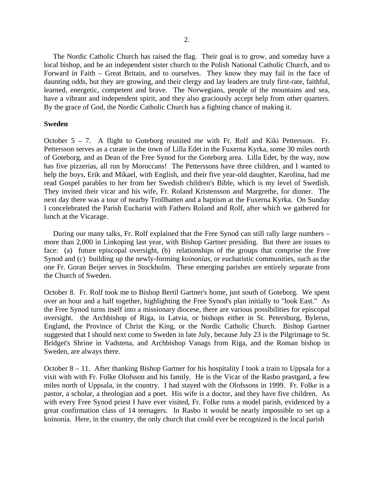The Nordic Catholic Church has raised the flag. Their goal is to grow, and someday have a local bishop, and be an independent sister church to the Polish National Catholic Church, and to Forward in Faith – Great Britain, and to ourselves. They know they may fail in the face of daunting odds, but they are growing, and their clergy and lay leaders are truly first-rate, faithful, learned, energetic, competent and brave. The Norwegians, people of the mountains and sea, have a vibrant and independent spirit, and they also graciously accept help from other quarters. By the grace of God, the Nordic Catholic Church has a fighting chance of making it.

### **Sweden**

October 5 – 7. A flight to Goteborg reunited me with Fr. Rolf and Kiki Pettersson. Fr. Pettersson serves as a curate in the town of Lilla Edet in the Fuxerna Kyrka, some 30 miles north of Goteborg, and as Dean of the Free Synod for the Goteborg area. Lilla Edet, by the way, now has five pizzerias, all run by Moroccans! The Petterssons have three children, and I wanted to help the boys, Erik and Mikael, with English, and their five year-old daughter, Karolina, had me read Gospel parables to her from her Swedish children's Bible, which is my level of Swedish. They invited their vicar and his wife, Fr. Roland Kristensson and Margrethe, for dinner. The next day there was a tour of nearby Trollhatten and a baptism at the Fuxerna Kyrka. On Sunday I concelebrated the Parish Eucharist with Fathers Roland and Rolf, after which we gathered for lunch at the Vicarage.

 During our many talks, Fr. Rolf explained that the Free Synod can still rally large numbers – more than 2,000 in Linkoping last year, with Bishop Gartner presiding. But there are issues to face: (a) future episcopal oversight, (b) relationships of the groups that comprise the Free Synod and (c) building up the newly-forming *koinonias*, or eucharistic communities, such as the one Fr. Goran Beijer serves in Stockholm. These emerging parishes are entirely separate from the Church of Sweden.

October 8. Fr. Rolf took me to Bishop Bertil Gartner's home, just south of Goteborg. We spent over an hour and a half together, highlighting the Free Synod's plan initially to "look East." As the Free Synod turns itself into a missionary diocese, there are various possibilities for episcopal oversight. the Archbishop of Riga, in Latvia, or bishops either in St. Petersburg, Bylerus, England, the Province of Christ the King, or the Nordic Catholic Church. Bishop Gartner suggested that I should next come to Sweden in late July, because July 23 is the Pilgrimage to St. Bridget's Shrine in Vadstena, and Archbishop Vanags from Riga, and the Roman bishop in Sweden, are always there.

October 8 – 11. After thanking Bishop Gartner for his hospitality I took a train to Uppsala for a visit with with Fr. Folke Olofsson and his family. He is the Vicar of the Rasbo prastgard, a few miles north of Uppsala, in the country. I had stayed with the Olofssons in 1999. Fr. Folke is a pastor, a scholar, a theologian and a poet. His wife is a doctor, and they have five children. As with every Free Synod priest I have ever visited, Fr. Folke runs a model parish, evidenced by a great confirmation class of 14 teenagers. In Rasbo it would be nearly impossible to set up a koinonia. Here, in the country, the only church that could ever be recognized is the local parish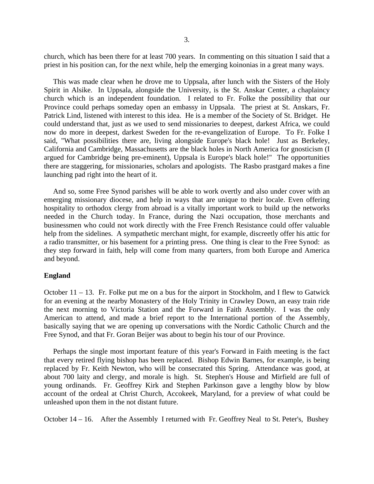church, which has been there for at least 700 years. In commenting on this situation I said that a priest in his position can, for the next while, help the emerging koinonias in a great many ways.

 This was made clear when he drove me to Uppsala, after lunch with the Sisters of the Holy Spirit in Alsike. In Uppsala, alongside the University, is the St. Anskar Center, a chaplaincy church which is an independent foundation. I related to Fr. Folke the possibility that our Province could perhaps someday open an embassy in Uppsala. The priest at St. Anskars, Fr. Patrick Lind, listened with interest to this idea. He is a member of the Society of St. Bridget. He could understand that, just as we used to send missionaries to deepest, darkest Africa, we could now do more in deepest, darkest Sweden for the re-evangelization of Europe. To Fr. Folke I said, "What possibilities there are, living alongside Europe's black hole! Just as Berkeley, California and Cambridge, Massachusetts are the black holes in North America for gnosticism (I argued for Cambridge being pre-eminent), Uppsala is Europe's black hole!" The opportunities there are staggering, for missionaries, scholars and apologists. The Rasbo prastgard makes a fine launching pad right into the heart of it.

 And so, some Free Synod parishes will be able to work overtly and also under cover with an emerging missionary diocese, and help in ways that are unique to their locale. Even offering hospitality to orthodox clergy from abroad is a vitally important work to build up the networks needed in the Church today. In France, during the Nazi occupation, those merchants and businessmen who could not work directly with the Free French Resistance could offer valuable help from the sidelines. A sympathetic merchant might, for example, discreetly offer his attic for a radio transmitter, or his basement for a printing press. One thing is clear to the Free Synod: as they step forward in faith, help will come from many quarters, from both Europe and America and beyond.

#### **England**

October 11 – 13. Fr. Folke put me on a bus for the airport in Stockholm, and I flew to Gatwick for an evening at the nearby Monastery of the Holy Trinity in Crawley Down, an easy train ride the next morning to Victoria Station and the Forward in Faith Assembly. I was the only American to attend, and made a brief report to the International portion of the Assembly, basically saying that we are opening up conversations with the Nordic Catholic Church and the Free Synod, and that Fr. Goran Beijer was about to begin his tour of our Province.

 Perhaps the single most important feature of this year's Forward in Faith meeting is the fact that every retired flying bishop has been replaced. Bishop Edwin Barnes, for example, is being replaced by Fr. Keith Newton, who will be consecrated this Spring. Attendance was good, at about 700 laity and clergy, and morale is high. St. Stephen's House and Mirfield are full of young ordinands. Fr. Geoffrey Kirk and Stephen Parkinson gave a lengthy blow by blow account of the ordeal at Christ Church, Accokeek, Maryland, for a preview of what could be unleashed upon them in the not distant future.

October 14 – 16. After the Assembly I returned with Fr. Geoffrey Neal to St. Peter's, Bushey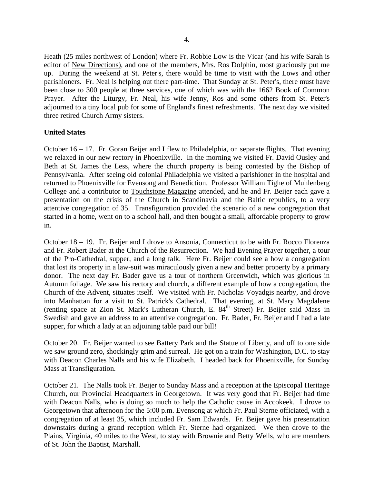Heath (25 miles northwest of London) where Fr. Robbie Low is the Vicar (and his wife Sarah is editor of New Directions), and one of the members, Mrs. Ros Dolphin, most graciously put me up. During the weekend at St. Peter's, there would be time to visit with the Lows and other parishioners. Fr. Neal is helping out there part-time. That Sunday at St. Peter's, there must have been close to 300 people at three services, one of which was with the 1662 Book of Common Prayer. After the Liturgy, Fr. Neal, his wife Jenny, Ros and some others from St. Peter's adjourned to a tiny local pub for some of England's finest refreshments. The next day we visited three retired Church Army sisters.

# **United States**

October 16 – 17. Fr. Goran Beijer and I flew to Philadelphia, on separate flights. That evening we relaxed in our new rectory in Phoenixville. In the morning we visited Fr. David Ousley and Beth at St. James the Less, where the church property is being contested by the Bishop of Pennsylvania. After seeing old colonial Philadelphia we visited a parishioner in the hospital and returned to Phoenixville for Evensong and Benediction. Professor William Tighe of Muhlenberg College and a contributor to Touchstone Magazine attended, and he and Fr. Beijer each gave a presentation on the crisis of the Church in Scandinavia and the Baltic republics, to a very attentive congregation of 35. Transfiguration provided the scenario of a new congregation that started in a home, went on to a school hall, and then bought a small, affordable property to grow in.

October 18 – 19. Fr. Beijer and I drove to Ansonia, Connecticut to be with Fr. Rocco Florenza and Fr. Robert Bader at the Church of the Resurrection. We had Evening Prayer together, a tour of the Pro-Cathedral, supper, and a long talk. Here Fr. Beijer could see a how a congregation that lost its property in a law-suit was miraculously given a new and better property by a primary donor. The next day Fr. Bader gave us a tour of northern Greenwich, which was glorious in Autumn foliage. We saw his rectory and church, a different example of how a congregation, the Church of the Advent, situates itself. We visited with Fr. Nicholas Voyadgis nearby, and drove into Manhattan for a visit to St. Patrick's Cathedral. That evening, at St. Mary Magdalene (renting space at Zion St. Mark's Lutheran Church, E. 84<sup>th</sup> Street) Fr. Beijer said Mass in Swedish and gave an address to an attentive congregation. Fr. Bader, Fr. Beijer and I had a late supper, for which a lady at an adjoining table paid our bill!

October 20. Fr. Beijer wanted to see Battery Park and the Statue of Liberty, and off to one side we saw ground zero, shockingly grim and surreal. He got on a train for Washington, D.C. to stay with Deacon Charles Nalls and his wife Elizabeth. I headed back for Phoenixville, for Sunday Mass at Transfiguration.

October 21. The Nalls took Fr. Beijer to Sunday Mass and a reception at the Episcopal Heritage Church, our Provincial Headquarters in Georgetown. It was very good that Fr. Beijer had time with Deacon Nalls, who is doing so much to help the Catholic cause in Accokeek. I drove to Georgetown that afternoon for the 5:00 p.m. Evensong at which Fr. Paul Sterne officiated, with a congregation of at least 35, which included Fr. Sam Edwards. Fr. Beijer gave his presentation downstairs during a grand reception which Fr. Sterne had organized. We then drove to the Plains, Virginia, 40 miles to the West, to stay with Brownie and Betty Wells, who are members of St. John the Baptist, Marshall.